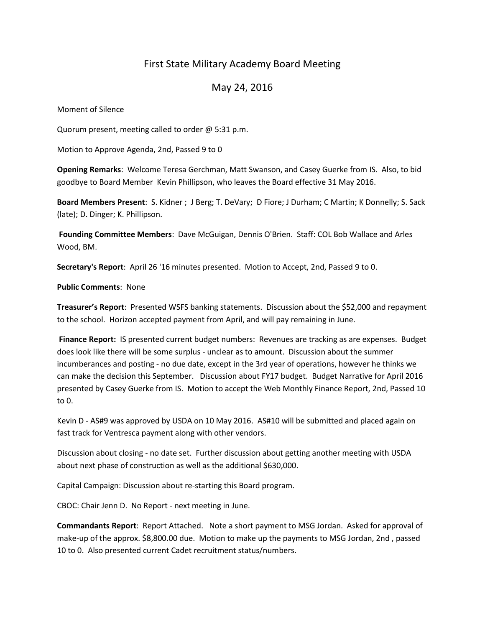# First State Military Academy Board Meeting

## May 24, 2016

#### Moment of Silence

Quorum present, meeting called to order @ 5:31 p.m.

Motion to Approve Agenda, 2nd, Passed 9 to 0

**Opening Remarks**: Welcome Teresa Gerchman, Matt Swanson, and Casey Guerke from IS. Also, to bid goodbye to Board Member Kevin Phillipson, who leaves the Board effective 31 May 2016.

**Board Members Present**: S. Kidner ; J Berg; T. DeVary; D Fiore; J Durham; C Martin; K Donnelly; S. Sack (late); D. Dinger; K. Phillipson.

**Founding Committee Members**: Dave McGuigan, Dennis O'Brien. Staff: COL Bob Wallace and Arles Wood, BM.

**Secretary's Report**: April 26 '16 minutes presented. Motion to Accept, 2nd, Passed 9 to 0.

### **Public Comments**: None

**Treasurer's Report**: Presented WSFS banking statements. Discussion about the \$52,000 and repayment to the school. Horizon accepted payment from April, and will pay remaining in June.

**Finance Report:** IS presented current budget numbers: Revenues are tracking as are expenses. Budget does look like there will be some surplus - unclear as to amount. Discussion about the summer incumberances and posting - no due date, except in the 3rd year of operations, however he thinks we can make the decision this September. Discussion about FY17 budget. Budget Narrative for April 2016 presented by Casey Guerke from IS. Motion to accept the Web Monthly Finance Report, 2nd, Passed 10 to 0.

Kevin D - AS#9 was approved by USDA on 10 May 2016. AS#10 will be submitted and placed again on fast track for Ventresca payment along with other vendors.

Discussion about closing - no date set. Further discussion about getting another meeting with USDA about next phase of construction as well as the additional \$630,000.

Capital Campaign: Discussion about re-starting this Board program.

CBOC: Chair Jenn D. No Report - next meeting in June.

**Commandants Report**: Report Attached. Note a short payment to MSG Jordan. Asked for approval of make-up of the approx. \$8,800.00 due. Motion to make up the payments to MSG Jordan, 2nd , passed 10 to 0. Also presented current Cadet recruitment status/numbers.